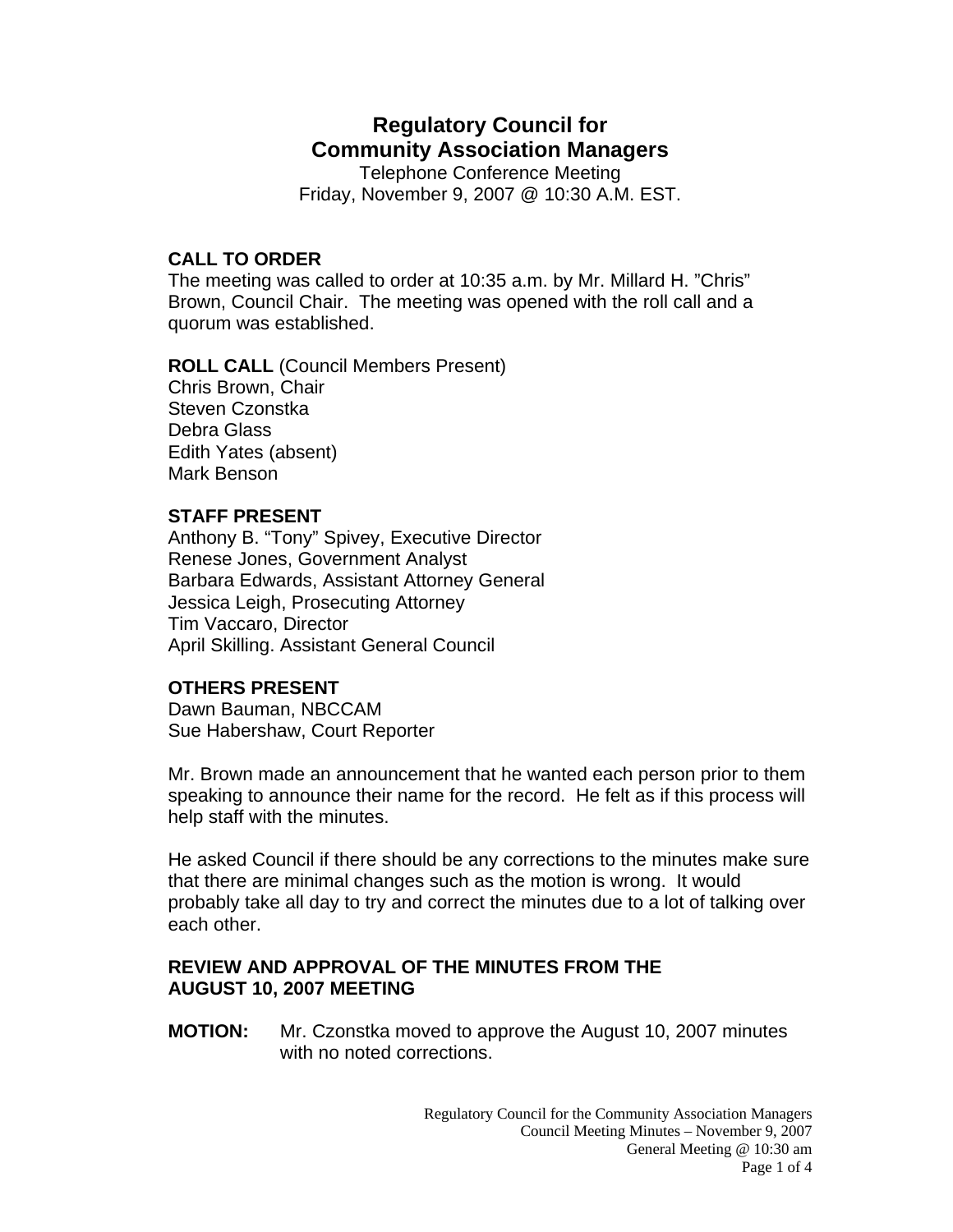# **Regulatory Council for Community Association Managers**

Telephone Conference Meeting Friday, November 9, 2007 @ 10:30 A.M. EST.

# **CALL TO ORDER**

The meeting was called to order at 10:35 a.m. by Mr. Millard H. "Chris" Brown, Council Chair. The meeting was opened with the roll call and a quorum was established.

**ROLL CALL** (Council Members Present) Chris Brown, Chair Steven Czonstka Debra Glass Edith Yates (absent) Mark Benson

## **STAFF PRESENT**

Anthony B. "Tony" Spivey, Executive Director Renese Jones, Government Analyst Barbara Edwards, Assistant Attorney General Jessica Leigh, Prosecuting Attorney Tim Vaccaro, Director April Skilling. Assistant General Council

# **OTHERS PRESENT**

Dawn Bauman, NBCCAM Sue Habershaw, Court Reporter

Mr. Brown made an announcement that he wanted each person prior to them speaking to announce their name for the record. He felt as if this process will help staff with the minutes.

He asked Council if there should be any corrections to the minutes make sure that there are minimal changes such as the motion is wrong. It would probably take all day to try and correct the minutes due to a lot of talking over each other.

## **REVIEW AND APPROVAL OF THE MINUTES FROM THE AUGUST 10, 2007 MEETING**

**MOTION:** Mr. Czonstka moved to approve the August 10, 2007 minutes with no noted corrections.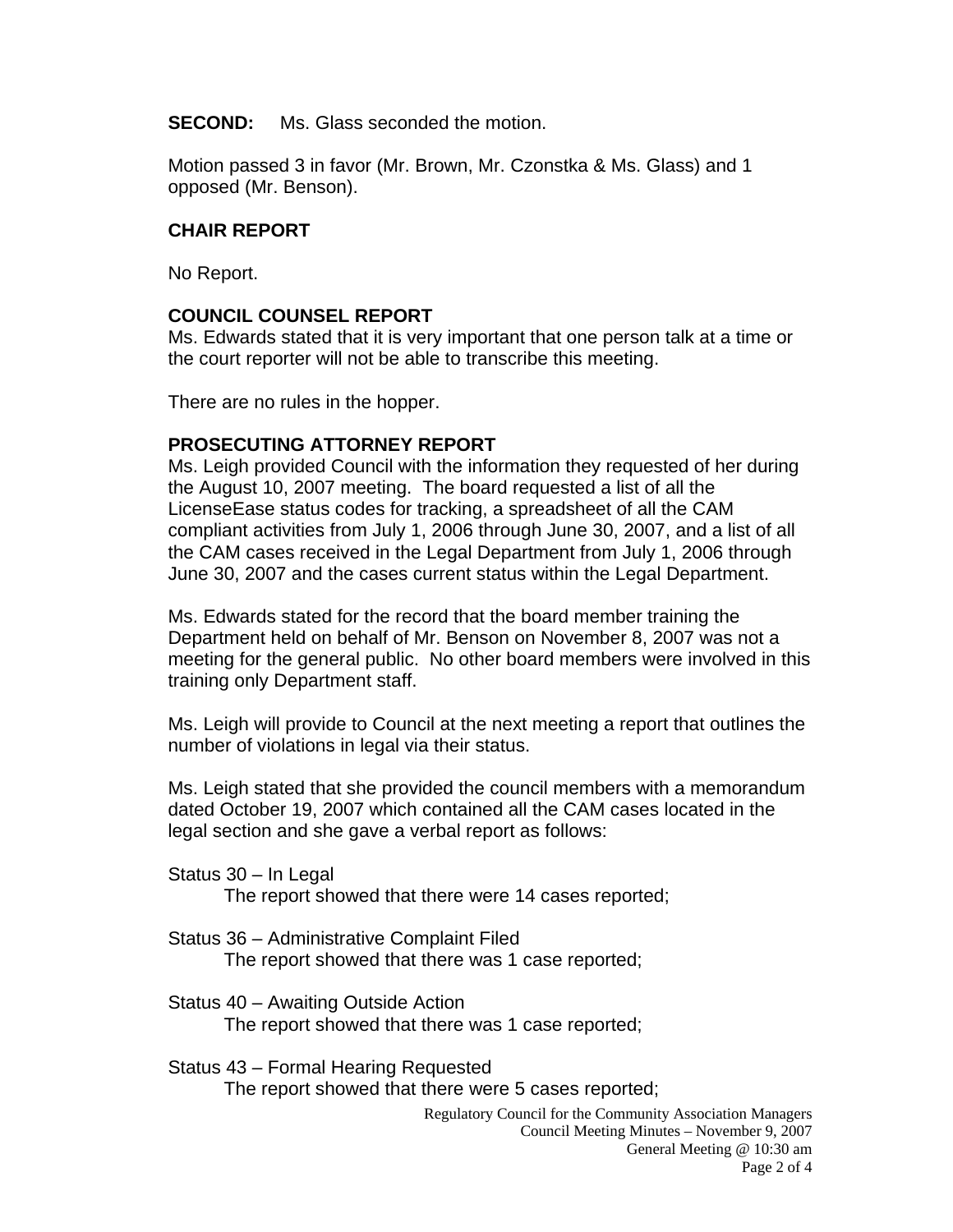**SECOND:** Ms. Glass seconded the motion.

Motion passed 3 in favor (Mr. Brown, Mr. Czonstka & Ms. Glass) and 1 opposed (Mr. Benson).

### **CHAIR REPORT**

No Report.

#### **COUNCIL COUNSEL REPORT**

Ms. Edwards stated that it is very important that one person talk at a time or the court reporter will not be able to transcribe this meeting.

There are no rules in the hopper.

#### **PROSECUTING ATTORNEY REPORT**

Ms. Leigh provided Council with the information they requested of her during the August 10, 2007 meeting. The board requested a list of all the LicenseEase status codes for tracking, a spreadsheet of all the CAM compliant activities from July 1, 2006 through June 30, 2007, and a list of all the CAM cases received in the Legal Department from July 1, 2006 through June 30, 2007 and the cases current status within the Legal Department.

Ms. Edwards stated for the record that the board member training the Department held on behalf of Mr. Benson on November 8, 2007 was not a meeting for the general public. No other board members were involved in this training only Department staff.

Ms. Leigh will provide to Council at the next meeting a report that outlines the number of violations in legal via their status.

Ms. Leigh stated that she provided the council members with a memorandum dated October 19, 2007 which contained all the CAM cases located in the legal section and she gave a verbal report as follows:

Status 30 – In Legal

The report showed that there were 14 cases reported;

- Status 36 Administrative Complaint Filed The report showed that there was 1 case reported;
- Status 40 Awaiting Outside Action The report showed that there was 1 case reported;

Status 43 – Formal Hearing Requested The report showed that there were 5 cases reported;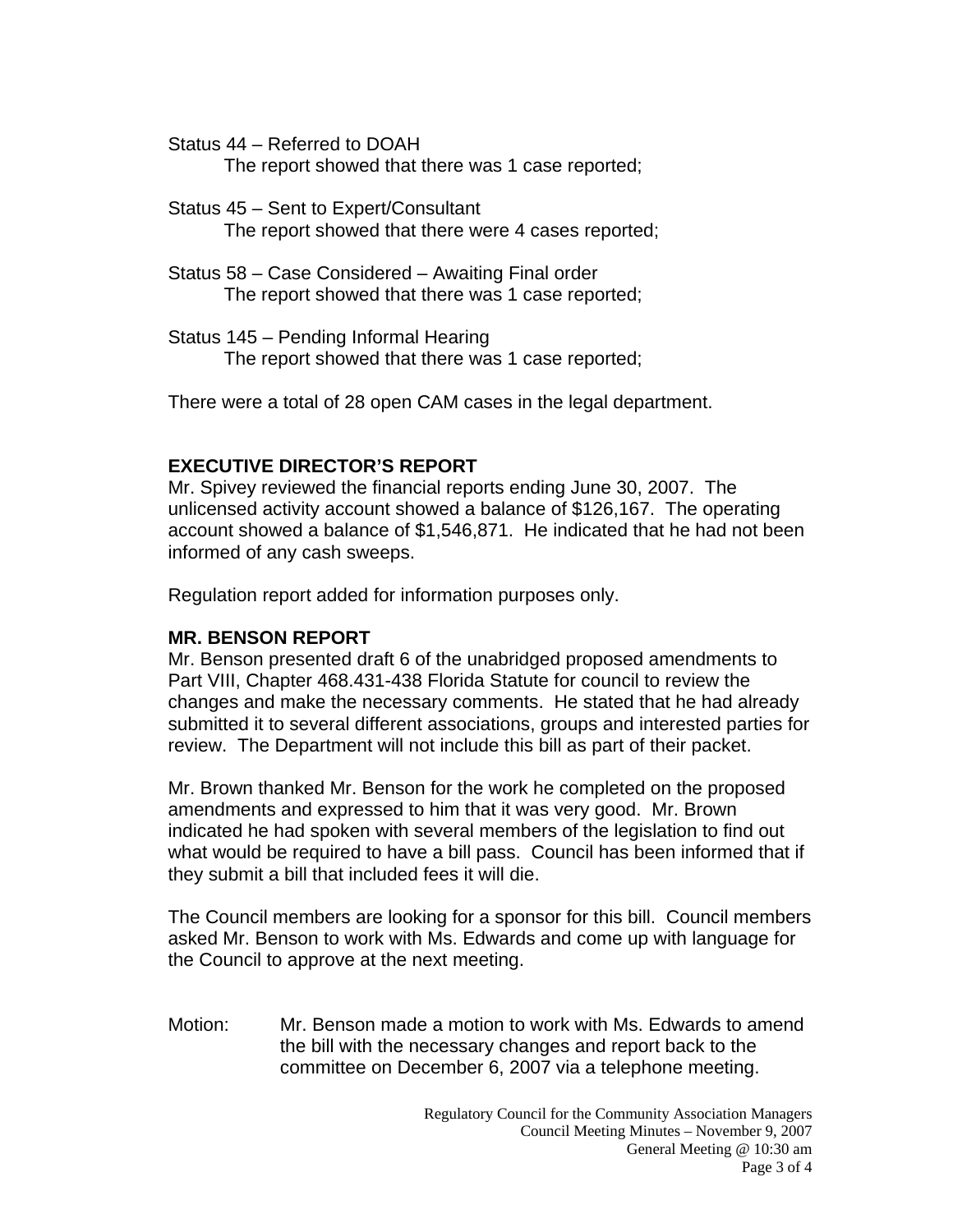Status 44 – Referred to DOAH The report showed that there was 1 case reported;

- Status 45 Sent to Expert/Consultant The report showed that there were 4 cases reported;
- Status 58 Case Considered Awaiting Final order The report showed that there was 1 case reported;
- Status 145 Pending Informal Hearing The report showed that there was 1 case reported;

There were a total of 28 open CAM cases in the legal department.

# **EXECUTIVE DIRECTOR'S REPORT**

Mr. Spivey reviewed the financial reports ending June 30, 2007. The unlicensed activity account showed a balance of \$126,167. The operating account showed a balance of \$1,546,871. He indicated that he had not been informed of any cash sweeps.

Regulation report added for information purposes only.

# **MR. BENSON REPORT**

Mr. Benson presented draft 6 of the unabridged proposed amendments to Part VIII, Chapter 468.431-438 Florida Statute for council to review the changes and make the necessary comments. He stated that he had already submitted it to several different associations, groups and interested parties for review. The Department will not include this bill as part of their packet.

Mr. Brown thanked Mr. Benson for the work he completed on the proposed amendments and expressed to him that it was very good. Mr. Brown indicated he had spoken with several members of the legislation to find out what would be required to have a bill pass. Council has been informed that if they submit a bill that included fees it will die.

The Council members are looking for a sponsor for this bill. Council members asked Mr. Benson to work with Ms. Edwards and come up with language for the Council to approve at the next meeting.

Motion: Mr. Benson made a motion to work with Ms. Edwards to amend the bill with the necessary changes and report back to the committee on December 6, 2007 via a telephone meeting.